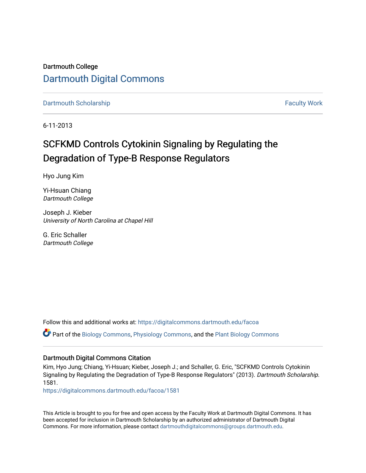Dartmouth College [Dartmouth Digital Commons](https://digitalcommons.dartmouth.edu/) 

[Dartmouth Scholarship](https://digitalcommons.dartmouth.edu/facoa) [Faculty Work](https://digitalcommons.dartmouth.edu/faculty) and The Basic Scholarship Faculty Work Faculty Work

6-11-2013

# SCFKMD Controls Cytokinin Signaling by Regulating the Degradation of Type-B Response Regulators

Hyo Jung Kim

Yi-Hsuan Chiang Dartmouth College

Joseph J. Kieber University of North Carolina at Chapel Hill

G. Eric Schaller Dartmouth College

Follow this and additional works at: [https://digitalcommons.dartmouth.edu/facoa](https://digitalcommons.dartmouth.edu/facoa?utm_source=digitalcommons.dartmouth.edu%2Ffacoa%2F1581&utm_medium=PDF&utm_campaign=PDFCoverPages)

Part of the [Biology Commons,](http://network.bepress.com/hgg/discipline/41?utm_source=digitalcommons.dartmouth.edu%2Ffacoa%2F1581&utm_medium=PDF&utm_campaign=PDFCoverPages) [Physiology Commons,](http://network.bepress.com/hgg/discipline/69?utm_source=digitalcommons.dartmouth.edu%2Ffacoa%2F1581&utm_medium=PDF&utm_campaign=PDFCoverPages) and the [Plant Biology Commons](http://network.bepress.com/hgg/discipline/106?utm_source=digitalcommons.dartmouth.edu%2Ffacoa%2F1581&utm_medium=PDF&utm_campaign=PDFCoverPages) 

## Dartmouth Digital Commons Citation

Kim, Hyo Jung; Chiang, Yi-Hsuan; Kieber, Joseph J.; and Schaller, G. Eric, "SCFKMD Controls Cytokinin Signaling by Regulating the Degradation of Type-B Response Regulators" (2013). Dartmouth Scholarship. 1581.

[https://digitalcommons.dartmouth.edu/facoa/1581](https://digitalcommons.dartmouth.edu/facoa/1581?utm_source=digitalcommons.dartmouth.edu%2Ffacoa%2F1581&utm_medium=PDF&utm_campaign=PDFCoverPages) 

This Article is brought to you for free and open access by the Faculty Work at Dartmouth Digital Commons. It has been accepted for inclusion in Dartmouth Scholarship by an authorized administrator of Dartmouth Digital Commons. For more information, please contact [dartmouthdigitalcommons@groups.dartmouth.edu](mailto:dartmouthdigitalcommons@groups.dartmouth.edu).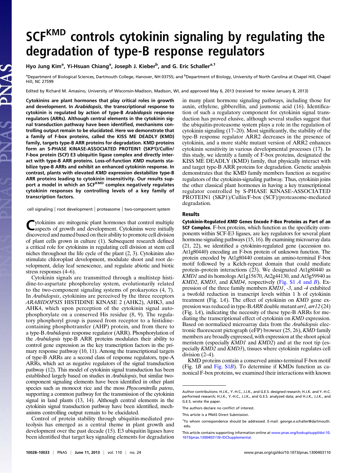# SCF<sup>KMD</sup> controls cytokinin signaling by regulating the degradation of type-B response regulators

### Hyo Jung Kim<sup>a</sup>, Yi-Hsuan Chiang<sup>a</sup>, Joseph J. Kieber<sup>b</sup>, and G. Eric Schaller<sup>a, 1</sup>

<sup>a</sup>Department of Biological Sciences, Dartmouth College, Hanover, NH 03755; and <sup>b</sup>Department of Biology, University of North Carolina at Chapel Hill, Chapel Hill, NC 27599

Edited by Richard M. Amasino, University of Wisconsin-Madison, Madison, WI, and approved May 6, 2013 (received for review January 8, 2013)

Cytokinins are plant hormones that play critical roles in growth and development. In Arabidopsis, the transcriptional response to cytokinin is regulated by action of type-B Arabidopsis response regulators (ARRs). Although central elements in the cytokinin signal transduction pathway have been identified, mechanisms controlling output remain to be elucidated. Here we demonstrate that a family of F-box proteins, called the KISS ME DEADLY (KMD) family, targets type-B ARR proteins for degradation. KMD proteins form an S-PHASE KINASE-ASSOCIATED PROTEIN1 (SKP1)/Cullin/ F-box protein (SCF) E3 ubiquitin ligase complex and directly interact with type-B ARR proteins. Loss-of-function KMD mutants stabilize type-B ARRs and exhibit an enhanced cytokinin response. In contrast, plants with elevated KMD expression destabilize type-B ARR proteins leading to cytokinin insensitivity. Our results support a model in which an SCFKMD complex negatively regulates cytokinin responses by controlling levels of a key family of transcription factors.

cell signaling | root development | proteasome | two-component system

Cytokinins are mitogenic plant hormones that control multiple aspects of growth and development. Cytokinins were initially discovered and named based on their ability to promote cell division of plant cells grown in culture (1). Subsequent research defined a critical role for cytokinins in regulating cell division at stem cell niches throughout the life cycle of the plant (2, 3). Cytokinins also stimulate chloroplast development, modulate shoot and root development, delay leaf senescence, and regulate abiotic and biotic stress responses (4–6).

Cytokinin signals are transmitted through a multistep histidine-to-aspartate phosphorelay system, evolutionarily related to the two-component signaling systems of prokaryotes (4, 7). In Arabidopsis, cytokinins are perceived by the three receptors ARABIDOPSIS HISTIDINE KINASE 2 (AHK2), AHK3, and AHK4, which upon perception of the cytokinin signal autophosphorylate on a conserved His residue (8, 9). The regulatory phosphoryl group is passed from receptor to a histidinecontaining phosphotransfer (AHP) protein, and from there to a type-B Arabidopsis response regulator (ARR). Phosphorylation of the Arabidopsis type-B ARR proteins modulates their ability to control gene expression as the key transcription factors in the primary response pathway (10, 11). Among the transcriptional targets of type-B ARRs are a second class of response regulators, type-A ARRs, which act as negative regulators of the signal transduction pathway (12). This model of cytokinin signal transduction has been established largely based on studies in Arabidopsis, but similar twocomponent signaling elements have been identified in other plant species such as monocot rice and the moss Physcomitrella patens, supporting a common pathway for the transmission of the cytokinin signal in land plants (13, 14). Although central elements in the cytokinin signal transduction pathway have been identified, mechanisms controlling output remain to be elucidated.

Control of protein stability through ubiquitin-mediated proteolysis has emerged as a central theme in plant growth and development over the past decade (15). E3 ubiquitin ligases have been identified that target key signaling elements for degradation in many plant hormone signaling pathways, including those for auxin, ethylene, gibberellin, and jasmonic acid (16). Identification of such a regulatory component for cytokinin signal transduction has proved elusive, although several studies suggest that the ubiquitin-proteasome system plays a role in the regulation of cytokinin signaling (17–20). Most significantly, the stability of the type-B response regulator ARR2 decreases in the presence of cytokinin, and a more stable mutant version of ARR2 enhances cytokinin sensitivity in various developmental processes (17). In this study, we identify a family of F-box proteins, designated the KISS ME DEADLY (KMD) family, that physically interact with and target type-B ARR proteins for degradation. Genetic analysis demonstrates that the KMD family members function as negative regulators of the cytokinin-signaling pathway. Thus, cytokinin joins the other classical plant hormones in having a key transcriptional regulator controlled by S-PHASE KINASE-ASSOCIATED PROTEIN1 (SKP1)/Cullin/F-box (SCF)/proteasome-mediated degradation.

#### Results

Cytokinin-Regulated KMD Genes Encode F-Box Proteins as Part of an SCF Complex. F-box proteins, which function as the specificity components within SCF-E3 ligases, are key regulators for several plant hormone-signaling pathways (15, 16). By examining microarray data (21, 22), we identified a cytokinin-regulated gene (accession no. At1g80440) encoding an F-box protein of unknown function. The protein encoded by At1g80440 contains an amino-terminal F-box motif followed by a Kelch-repeat domain that could mediate protein–protein interactions (23). We designated At1g80440 as  $KMD1$  and its homologs At1g15670, At2g44130, and At3g59940 as KMD2, KMD3, and KMD4, respectively [\(Fig. S1](http://www.pnas.org/lookup/suppl/doi:10.1073/pnas.1300403110/-/DCSupplemental/pnas.201300403SI.pdf?targetid=nameddest=SF1) A and B). Expression of the three family members KMD1, -3, and -4 exhibited a twofold reduction in transcript levels within 1 h of cytokinin treatment (Fig. 1A). The effect of cytokinin on KMD gene expression was reduced in type-B ARR double mutant arr1, arr12 (24) (Fig. 1A), indicating the necessity of these type-B ARRs for mediating the transcriptional effect of cytokinin on KMD expression. Based on normalized microarray data from the Arabidopsis electronic fluorescent pictograph (eFP) browser (25, 26), KMD family members are broadly expressed, with expression at the shoot apical meristem (especially  $K\overline{M}D1$  and  $K\overline{M}D2$ ) and at the root tip (especially KMD2 and KMD3), tissues where cytokinin regulates cell division  $(2-4)$ .

KMD proteins contain a conserved amino-terminal F-box motif (Fig.  $1B$  and Fig.  $S1B$ ). To determine if KMDs function as canonical F-box proteins, we examined their interactions with known

Author contributions: H.J.K., Y.-H.C., J.J.K., and G.E.S. designed research; H.J.K. and Y.-H.C. performed research; H.J.K., Y.-H.C., J.J.K., and G.E.S. analyzed data; and H.J.K., J.J.K., and G.E.S. wrote the paper.

The authors declare no conflict of interest.

This article is a PNAS Direct Submission.

<sup>&</sup>lt;sup>1</sup>To whom correspondence should be addressed. E-mail: [george.e.schaller@dartmouth.](mailto:george.e.schaller@dartmouth.edu) [edu](mailto:george.e.schaller@dartmouth.edu).

This article contains supporting information online at [www.pnas.org/lookup/suppl/doi:10.](http://www.pnas.org/lookup/suppl/doi:10.1073/pnas.1300403110/-/DCSupplemental) [1073/pnas.1300403110/-/DCSupplemental.](http://www.pnas.org/lookup/suppl/doi:10.1073/pnas.1300403110/-/DCSupplemental)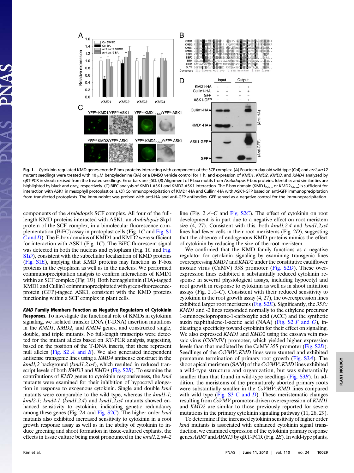

Fig. 1. Cytokinin-regulated KMD genes encode F-box proteins interacting with components of the SCF complex. (A) Fourteen-day-old wild-type (Col) and arr1,arr12 mutant seedlings were treated with 10 μM benzyladenine (BA) or a DMSO vehicle control for 1 h, and expression of KMD1, KMD2, KMD3, and KMD4 analyzed by qRT-PCR in shoots excised from the treated seedlings. Error bars are ±SD. (B) Alignment of F-box motifs from Arabidopsis F-box proteins. Identities and similarities are highlighted by black and gray, respectively. (C) BiFC analysis of KMD1-ASK1 and KMD2-ASK1 interaction. The F-box domain (KMD1<sub>F-box</sub> or KMD2<sub>F-box</sub>) is sufficient for interaction with ASK1 in mesophyll protoplast cells. (D) Coimmunoprecipitation of KMD1-HA and Cullin1-HA with ASK1-GFP based on anti-GFP immunoprecipitation from transfected protoplasts. The immunoblot was probed with anti-HA and anti-GFP antibodies. GFP served as a negative control for the immunoprecipitation.

components of the Arabidopsis SCF complex. All four of the fulllength KMD proteins interacted with ASK1, an Arabidopsis Skp1 protein of the SCF complex, in a bimolecular fluorescence complementation (BiFC) assay in protoplast cells (Fig. 1C and [Fig. S1](http://www.pnas.org/lookup/suppl/doi:10.1073/pnas.1300403110/-/DCSupplemental/pnas.201300403SI.pdf?targetid=nameddest=SF1)  $C$  [and](http://www.pnas.org/lookup/suppl/doi:10.1073/pnas.1300403110/-/DCSupplemental/pnas.201300403SI.pdf?targetid=nameddest=SF1)  $D$ ). The F-box domains of KMD1 and KMD2 were sufficient for interaction with ASK1 (Fig. 1C). The BiFC fluorescent signal was detected in both the nucleus and cytoplasm ([Fig.](http://www.pnas.org/lookup/suppl/doi:10.1073/pnas.1300403110/-/DCSupplemental/pnas.201300403SI.pdf?targetid=nameddest=SF1) 1C and Fig. [S1](http://www.pnas.org/lookup/suppl/doi:10.1073/pnas.1300403110/-/DCSupplemental/pnas.201300403SI.pdf?targetid=nameddest=SF1)D), consistent with the subcellular localization of KMD proteins ([Fig. S1](http://www.pnas.org/lookup/suppl/doi:10.1073/pnas.1300403110/-/DCSupplemental/pnas.201300403SI.pdf?targetid=nameddest=SF1)E), implying that KMD proteins may function as F-box proteins in the cytoplasm as well as in the nucleus. We performed coimmunoprecipitation analysis to confirm interactions of KMD1 within an SCF complex (Fig. 1D). Both hemagglutinin (HA)-tagged KMD1 and Cullin1 coimmunoprecipitated with green-fluorescenceprotein (GFP)-tagged ASK1, consistent with the KMD proteins functioning within a SCF complex in plant cells.

KMD Family Members Function as Negative Regulators of Cytokinin Responses. To investigate the functional role of KMDs in cytokinin signaling, we isolated transfer DNA (T-DNA) insertion mutations in the KMD1, KMD2, and KMD4 genes, and constructed single, double, and triple mutants. No full-length transcripts were detected for the mutant alleles based on RT-PCR analysis, suggesting, based on the position of the T-DNA inserts, that these represent null alleles (Fig.  $S2 \, A$  and  $B$ ). We also generated independent antisense transgenic lines using a KMD4 antisense construct in the  $kmd1,2$  background ( $kmd1,2,\alpha4$ ), which resulted in reduced tran-script levels of both KMD3 and KMD4 [\(Fig. S2](http://www.pnas.org/lookup/suppl/doi:10.1073/pnas.1300403110/-/DCSupplemental/pnas.201300403SI.pdf?targetid=nameddest=SF2)B). To examine the contributions of KMD genes to cytokinin responsiveness, the kmd mutants were examined for their inhibition of hypocotyl elongation in response to exogenous cytokinin. Single and double kmd mutants were comparable to the wild type, whereas the kmd1-1; kmd2-1; kmd4-1 (kmd1,2,4) and kmd1,2, $\alpha$ 4 mutants showed enhanced sensitivity to cytokinin, indicating genetic redundancy among these genes (Fig. 2A and [Fig. S2](http://www.pnas.org/lookup/suppl/doi:10.1073/pnas.1300403110/-/DCSupplemental/pnas.201300403SI.pdf?targetid=nameddest=SF2)C). The higher order kmd mutants also exhibited increased sensitivity to cytokinin in a root growth response assay as well as in the ability of cytokinin to induce greening and shoot formation in tissue-cultured explants, the effects in tissue culture being most pronounced in the  $kmd1,2,\alpha$ 4–2

line (Fig. 2 A–C and [Fig. S2](http://www.pnas.org/lookup/suppl/doi:10.1073/pnas.1300403110/-/DCSupplemental/pnas.201300403SI.pdf?targetid=nameddest=SF2)C). The effect of cytokinin on root development is in part due to a negative effect on root meristem size (4, 27). Consistent with this, both  $kmd1,2,4$  and  $kmd1,2,\alpha4$ lines had fewer cells in their root meristems (Fig. 2D), suggesting that the absence of endogenous KMD proteins mimics the effect of cytokinin by reducing the size of the root meristem.

We confirmed that the KMD family functions as a negative regulator for cytokinin signaling by examining transgenic lines overexpressing KMD1 and KMD2 under the constitutive cauliflower mosaic virus (CaMV) 35S promoter ([Fig. S2](http://www.pnas.org/lookup/suppl/doi:10.1073/pnas.1300403110/-/DCSupplemental/pnas.201300403SI.pdf?targetid=nameddest=SF2)D). These overexpression lines exhibited a substantially reduced cytokinin response in several physiological assays, including hypocotyl and root growth in response to cytokinin as well as in shoot initiation assays (Fig.  $2A-C$ ). Consistent with their reduced sensitivity to cytokinin in the root growth assay (4, 27), the overexpression lines exhibited larger root meristems (Fig.  $S2E$ ). Significantly, the 35S:: KMD1 and -2 lines responded normally to the ethylene precursor 1-aminocyclopropane-1-carboxylic acid (ACC) and the synthetic auxin naphthalene-1-acetic acid (NAA) (Fig.  $S2 \ F$  and  $G$ ), indicating a specificity toward cytokinin for their effect on signaling. We also expressed *KMD1* and *KMD2* using the cassava vein mosaic virus (CsVMV) promoter, which yielded higher expression levels than that mediated by the CaMV 35S promoter ([Fig. S2](http://www.pnas.org/lookup/suppl/doi:10.1073/pnas.1300403110/-/DCSupplemental/pnas.201300403SI.pdf?targetid=nameddest=SF2)D). Seedlings of the CsVMV::KMD lines were stunted and exhibited premature termination of primary root growth [\(Fig. S3](http://www.pnas.org/lookup/suppl/doi:10.1073/pnas.1300403110/-/DCSupplemental/pnas.201300403SI.pdf?targetid=nameddest=SF3)A). The shoot apical meristem (SAM) of the CsVMV::KMD lines exhibited a wild-type structure and organization, but was substantially smaller than that found in wild-type seedlings [\(Fig. S3](http://www.pnas.org/lookup/suppl/doi:10.1073/pnas.1300403110/-/DCSupplemental/pnas.201300403SI.pdf?targetid=nameddest=SF3)B). In addition, the meristems of the prematurely aborted primary roots were substantially smaller in the CsVMV::KMD lines compared with wild type ([Fig. S3](http://www.pnas.org/lookup/suppl/doi:10.1073/pnas.1300403110/-/DCSupplemental/pnas.201300403SI.pdf?targetid=nameddest=SF3)  $C$  and  $D$ ). These meristematic changes resulting from CsVMV promoter-driven overexpression of KMD1 and KMD2 are similar to those previously reported for severe mutations in the primary cytokinin signaling pathway (11, 28, 29).

To determine if the increased cytokinin sensitivity of higher order kmd mutants is associated with enhanced cytokinin signal transduction, we examined expression of the cytokinin primary response genesARR7 and ARR15 by qRT-PCR (Fig. 2E). In wild-type plants,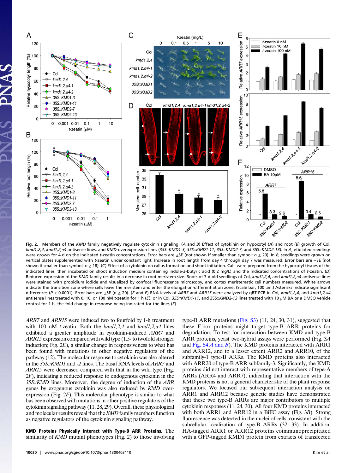

Fig. 2. Members of the KMD family negatively regulate cytokinin signaling. (A and B) Effect of cytokinin on hypocotyl (A) and root (B) growth of Col, kmd1,2,4, kmd1,2,a4 antisense lines, and KMD-overexpression lines (35S::KMD1-3, 35S::KMD1-11, 35S::KMD2-7, and 35S::KMD2-13). In A, etiolated seedlings were grown for 4 d on the indicated t-zeatin concentrations. Error bars are  $\pm$ SE (not shown if smaller than symbol;  $n \ge 20$ ). In B, seedlings were grown on vertical plates supplemented with t-zeatin under constant light. Increase in root length from day 4 through day 7 was measured. Error bars are ±SE (not shown if smaller than symbol;  $n \geq 18$ ). (C) Effect of a cytokinin on callus formation and shoot initiation. Calli were prepared from the hypocotyl tissues of the indicated lines, then incubated on shoot induction medium containing indole-3-butyric acid (0.2 mg/L) and the indicated concentrations of t-zeatin. (D) Reduced expression of the KMD family results in a decrease in root meristem size. Roots of 7-d-old seedlings of Col, kmd1,2,4, and kmd1,2,a4 antisense lines were stained with propidium iodide and visualized by confocal fluorescence microscopy, and cortex meristematic cell numbers measured. White arrows indicate the transition zone where cells leave the meristem and enter the elongation-differentiation zone. (Scale bar, 100 μm.) Asterisks indicate significant differences (P < 0.0001). Error bars are  $\pm$ SE (n  $\geq$  20). (E and F) RNA levels of ARR7 and ARR15 were analyzed by qRT-PCR in Col, kmd1,2,4, and kmd1,2,a4 antisense lines treated with 0, 10, or 100 nM t-zeatin for 1 h (E); or in Col, 35S:: KMD1-11, and 35S:: KMD2-13 lines treated with 10 μM BA or a DMSO vehicle control for 1 h, the fold change in response being indicated for the lines  $(F)$ .

ARR7 and ARR15 were induced two to fourfold by 1-h treatment with 100 nM t-zeatin. Both the  $kmd1,2,4$  and  $kmd1,2,\alpha4$  lines exhibited a greater amplitude in cytokinin-induced ARR7 and ARR15 expression compared with wild type (1.5- to twofold stronger induction; Fig.  $2E$ ), a similar change in responsiveness to what has been found with mutations in other negative regulators of the pathway (12). The molecular response to cytokinin was also altered in the 35S::KMD1 and -2 lines. The basal RNA levels of ARR7 and ARR15 were decreased compared with that in the wild type (Fig. 2F), indicating a reduced response to endogenous cytokinin in the 35S::KMD lines. Moreover, the degree of induction of the ARR genes by exogenous cytokinin was also reduced by KMD overexpression (Fig. 2F). This molecular phenotype is similar to what has been observed with mutations in other positive regulators of the cytokinin signaling pathway (11, 28, 29). Overall, these physiological and molecular results reveal that the KMD family members function as negative regulators of the cytokinin signaling pathway.

KMD Proteins Physically Interact with Type-B ARR Proteins. The similarity of *KMD* mutant phenotypes (Fig. 2) to those involving

proteins did not interact with representative members of type-A ARRs (ARR4 and ARR7), indicating that interaction with the KMD proteins is not a general characteristic of the plant response regulators. We focused our subsequent interaction analysis on ARR1 and ARR12 because genetic studies have demonstrated that these two type-B ARRs are major contributors to multiple cytokinin responses (11, 24, 30). All four KMD proteins interacted with both ARR1 and ARR12 in a BiFC assay (Fig. 3B). Strong fluorescence was detected in the nuclei of cells, consistent with the subcellular localization of type-B ARRs (32, 33). In addition, HA-tagged ARR1 or ARR12 proteins coimmunoprecipitated with a GFP-tagged KMD1 protein from extracts of transfected

type-B ARR mutations [\(Fig. S3](http://www.pnas.org/lookup/suppl/doi:10.1073/pnas.1300403110/-/DCSupplemental/pnas.201300403SI.pdf?targetid=nameddest=SF3)) (11, 24, 30, 31), suggested that these F-box proteins might target type-B ARR proteins for degradation. To test for interaction between KMD and type-B ARR proteins, yeast two-hybrid assays were performed (Fig. 3A and Fig.  $S4A$  and B). The KMD proteins interacted with ARR1 and ARR12, and to a lesser extent ARR2 and ARR10, of the subfamily-1 type-B ARRs. The KMD proteins also interacted with ARR20 of type-B ARR subfamily-3. Significantly, the KMD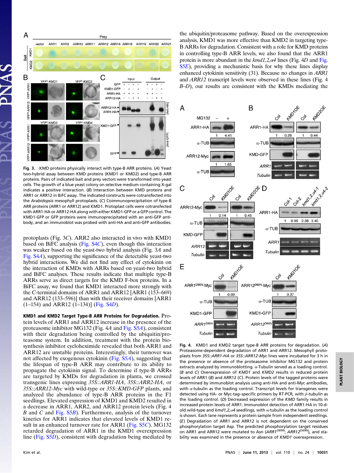

Fig. 3. KMD proteins physically interact with type-B ARR proteins. (A) Yeast two-hybrid assay between KMD proteins (KMD1 or KMD2) and type-B ARR proteins. Pairs of indicated bait and prey vectors were transformed into yeast cells. The growth of a blue yeast colony on selective medium containing X-gal indicates a positive interaction. (B) Interaction between KMD proteins and ARR1 or ARR12 in BiFC assay. The indicated constructs were cotransfected into the Arabidopsis mesophyll protoplasts. (C) Coimmunoprecipitation of type-B ARR proteins (ARR1 or ARR12) and KMD1. Protoplast cells were cotransfected with ARR1-HA or ARR12-HA along with either KMD1-GFP or a GFP control. The KMD1-GFP or GFP proteins were immunoprecipitated with an anti-GFP antibody, and an immunoblot was probed with anti-HA and anti-GFP antibodies.

protoplasts (Fig. 3C). ARR2 also interacted in vivo with KMD1 based on BiFC analysis [\(Fig. S4](http://www.pnas.org/lookup/suppl/doi:10.1073/pnas.1300403110/-/DCSupplemental/pnas.201300403SI.pdf?targetid=nameddest=SF4)C), even though this interaction was weaker based on the yeast-two hybrid analysis (Fig. 3A and [Fig. S4](http://www.pnas.org/lookup/suppl/doi:10.1073/pnas.1300403110/-/DCSupplemental/pnas.201300403SI.pdf?targetid=nameddest=SF4)A), supporting the significance of the detectable yeast-two hybrid interactions. We did not find any effect of cytokinin on the interaction of KMDs with ARRs based on yeast-two hybrid and BiFC analyses. These results indicate that multiple type-B ARRs serve as direct targets for the KMD F-box proteins. In a BiFC assay, we found that KMD1 interacted more strongly with the C-terminal domains of ARR1 and ARR12 [ARR1 (153–669) and ARR12 (133–596)] than with their receiver domains [ARR1 (1–154) and ARR12 (1–134)] [\(Fig. S4](http://www.pnas.org/lookup/suppl/doi:10.1073/pnas.1300403110/-/DCSupplemental/pnas.201300403SI.pdf?targetid=nameddest=SF4)D).

KMD1 and KMD2 Target Type-B ARR Proteins for Degradation. Protein levels of ARR1 and ARR12 increase in the presence of the proteasome inhibitor MG132 (Fig. 4A and [Fig. S5](http://www.pnas.org/lookup/suppl/doi:10.1073/pnas.1300403110/-/DCSupplemental/pnas.201300403SI.pdf?targetid=nameddest=SF5)A), consistent with their degradation being controlled by the ubiquitin/proteasome system. In addition, treatment with the protein biosynthesis inhibitor cycloheximide revealed that both ARR1 and ARR12 are unstable proteins. Interestingly, their turnover was not affected by exogenous cytokinin ([Fig. S5](http://www.pnas.org/lookup/suppl/doi:10.1073/pnas.1300403110/-/DCSupplemental/pnas.201300403SI.pdf?targetid=nameddest=SF5)A), suggesting that the lifespan of type-B ARR may contribute to its ability to propagate the cytokinin signal. To determine if type-B ARRs are targeted by KMDs for degradation in planta, we crossed transgenic lines expressing 35S::ARR1-HA, 35S::ARR2-HA, or 35S::ARR12-Myc with wild-type or 35S::KMD-GFP plants, and analyzed the abundance of type-B ARR proteins in the F1 seedlings. Elevated expression of KMD1 and KMD2 resulted in a decrease in ARR1, ARR2, and ARR12 protein levels (Fig. 4 B and C and [Fig. S5](http://www.pnas.org/lookup/suppl/doi:10.1073/pnas.1300403110/-/DCSupplemental/pnas.201300403SI.pdf?targetid=nameddest=SF5)B). Furthermore, analysis of the turnover kinetics for ARR1 indicates that elevated levels of KMD1 re-sult in an enhanced turnover rate for ARR1 ([Fig. S5](http://www.pnas.org/lookup/suppl/doi:10.1073/pnas.1300403110/-/DCSupplemental/pnas.201300403SI.pdf?targetid=nameddest=SF5)C). MG132 retarded degradation of ARR1 in the KMD1 overexpression line ([Fig. S5](http://www.pnas.org/lookup/suppl/doi:10.1073/pnas.1300403110/-/DCSupplemental/pnas.201300403SI.pdf?targetid=nameddest=SF5)D), consistent with degradation being mediated by the ubiquitin/proteasome pathway. Based on the overexpression analysis, KMD1 was more effective than KMD2 in targeting type-B ARRs for degradation. Consistent with a role for KMD proteins in controlling type-B ARR levels, we also found that the ARR1 protein is more abundant in the  $kmd1,2,\alpha4$  lines ([Fig.](http://www.pnas.org/lookup/suppl/doi:10.1073/pnas.1300403110/-/DCSupplemental/pnas.201300403SI.pdf?targetid=nameddest=SF5) 4D and Fig. [S5](http://www.pnas.org/lookup/suppl/doi:10.1073/pnas.1300403110/-/DCSupplemental/pnas.201300403SI.pdf?targetid=nameddest=SF5)E), providing a mechanistic basis for why these lines display enhanced cytokinin sensitivity (31). Because no changes in ARR1 and ARR12 transcript levels were observed in these lines (Fig. 4 B–D), our results are consistent with the KMDs mediating the



Fig. 4. KMD1 and KMD2 target type-B ARR proteins for degradation. (A) Proteasome-dependent degradation of ARR1 and ARR12. Mesophyll protoplasts from 35S::ARR1-HA or 35S::ARR12-Myc lines were incubated for 3 h in the presence or absence of the proteasome inhibitor MG132 and protein extracts analyzed by immunoblotting. α-Tubulin served as a loading control. (B and C) Overexpression of KMD1 and KMD2 results in reduced protein levels of ARR1 (B) and ARR12 (C). Protein levels of the tagged proteins were determined by immunoblot analysis using anti-HA and anti-Myc antibodies, with α-tubulin as the loading control. Transcript levels for transgenes were detected using HA- or Myc-tag–specific primers by RT-PCR, with β-tubulin as the loading control. (D) Decreased expression of the KMD family results in increased protein levels of ARR1. Immunoblot detection of ARR1-HA in 10-dold wild-type and  $kmd1.2.\alpha4$  seedlings, with  $\alpha$ -tubulin as the loading control is shown. Each lane represents a protein sample from independent seedlings. (E) Degradation of ARR1 and ARR12 is not dependent on the conserved phosphorylation target Asp. The predicted phosphorylation target residues<br>on ARR1 and ARR12 were mutated to Asn (*ARR1<sup>D89N</sup>; ARR12<sup>D69N</sup>)*, and stability was examined in the presence or absence of KMD1 overexpression.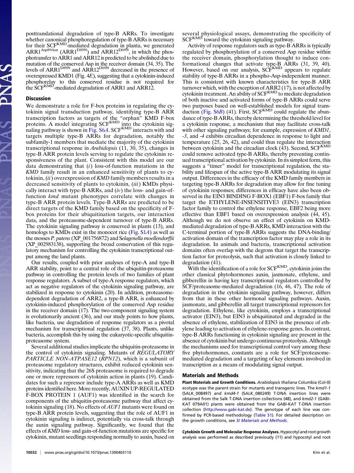posttranslational degradation of type-B ARRs. To investigate whether canonical phosphoregulation of type-B ARRs is necessary for their SCF<sup>KMD</sup>-mediated degradation in planta, we generated  $ARR1^{Asp89Asn}$  (ARR1<sup>D89N</sup>) and ARR12<sup>D69N</sup>, in which the phosphotransfer to ARR1 and ARR12 is predicted to be abolished due to mutation of the conserved Asp in the receiver domain (34, 35). The levels of ARR1<sup>D89N</sup> and ARR12<sup>D69N</sup> decreased in the presence of overexpressed KMD1 (Fig. 4E), suggesting that a cytokinin-induced phosphorelay to this conserved residue is not required for the SCF<sup>KMD</sup>-mediated degradation of ARR1 and ARR12.

#### Discussion

We demonstrate a role for F-box proteins in regulating the cytokinin signal transduction pathway, identifying type-B ARR transcription factors as targets of the "orphan" KMD F-box proteins. A model integrating SCF<sup>KMD</sup> into the cytokinin sig-naling pathway is shown in [Fig. S6](http://www.pnas.org/lookup/suppl/doi:10.1073/pnas.1300403110/-/DCSupplemental/pnas.201300403SI.pdf?targetid=nameddest=SF6)A. SCF<sup>KMD</sup> interacts with and targets multiple type-B ARRs for degradation, notably the subfamily-1 members that mediate the majority of the cytokinin transcriptional response in Arabidopsis (11, 30, 35), changes in type-B ARR protein levels serving to regulate the cytokinin responsiveness of the plant. Consistent with this model are our data demonstrating that  $(i)$  loss-of-function mutations in the KMD family result in an enhanced sensitivity of plants to cytokinin,  $(ii)$  overexpression of  $KMD$  family members results in a decreased sensitivity of plants to cytokinin, *(iii)* KMDs physically interact with type-B ARRs, and  $(iv)$  the loss- and gain-offunction *kmd* mutant phenotypes correlate with changes in type-B ARR protein levels. Type-B ARRs are predicted to be direct targets of the KMD family based on the specificity of Fbox proteins for their ubiquitination targets, our interaction data, and the proteasome-dependent turnover of type-B ARRs. The cytokinin signaling pathway is conserved in plants (13), and homologs to KMDs exist in the monocot rice ([Fig. S1](http://www.pnas.org/lookup/suppl/doi:10.1073/pnas.1300403110/-/DCSupplemental/pnas.201300403SI.pdf?targetid=nameddest=SF1)A) as well as the mosses P. patens (XP\_001756872) and Selagenella moellendorffii (XP\_002983138), supporting the broad conservation of this regulatory mechanism for controlling the cytokinin transcriptional output among the land plants.

Our results, coupled with prior analyses of type-A and type-B ARR stability, point to a central role of the ubiquitin-proteasome pathway in controlling the protein levels of two families of plant response regulators. A subset of type-A response regulators, which act as negative regulators of the cytokinin signaling pathway, are stabilized in response to cytokinin (20). In addition, proteasomedependent degradation of ARR2, a type-B ARR, is enhanced by cytokinin-induced phosphorylation of the conserved Asp residue in the receiver domain (17). The two-component signaling system is evolutionarily ancient (36), and our study points to how plants, like bacteria, use degradation of response regulators as a pivotal mechanism for transcriptional regulation (37, 38). Plants, unlike bacteria, accomplish this by using the eukaryotic-specific ubiquitinproteasome system.

Several additional studies implicate the ubiquitin-proteasome in the control of cytokinin signaling. Mutants of REGULATORY PARTICLE NON-ATPASE12 (RPN12), which is a subunit of proteasome regulatory structures, exhibit reduced cytokinin sensitivity, indicating that the 26S proteasome is required to degrade one or more repressors of cytokinin action in plants (19). Candidates for such a repressor include type-A ARRs as well as KMD proteins identified here.More recently, AUXIN UP-REGULATED F-BOX PROTEIN 1 (AUF1) was identified in the search for components of the ubiquitin-proteasome pathway that affect cytokinin signaling (18). No effects of  $AUFI$  mutants were found on type-B ARR protein levels, suggesting that the role of AUF1 in cytokinin signaling is indirect, potentially via cross-talk through the auxin signaling pathway. Significantly, we found that the effects of KMD loss- and gain-of-function mutations are specific for cytokinin, mutant seedlings responding normally to auxin, based on

several physiological assays, demonstrating the specificity of SCF<sup>KMD</sup> toward the cytokinin signaling pathway.

Activity of response regulators such as type-B ARRs is typically regulated by phosphorylation of a conserved Asp residue within the receiver domain, phosphorylation thought to induce conformational changes that activate type-B ARRs (31, 39, 40).<br>However, based on our analysis, SCF<sup>KMD</sup> appears to regulate stability of type-B ARRs in a phospho-Asp-independent manner. This is consistent with known characteristics for type-B ARR turnover which, with the exception of ARR2 (17), is not affected by<br>cytokinin treatment. An ability of SCF<sup>KMD</sup> to mediate degradation of both inactive and activated forms of type-B ARRs could serve two purposes based on well-established models for signal transduction  $(Fig. S6B)$  $(Fig. S6B)$  $(Fig. S6B)$  (41). First, SCF<sup>KMD</sup> could regulate the abundance of type-B ARRs, thereby determining the threshold level for a cytokinin response, a mechanism that may facilitate cross-talk with other signaling pathways; for example, expression of KMD1, -3, and -4 exhibits circadian dependence in response to light and temperature (25, 26, 42), and could thus regulate the interaction between cytokinin and the circadian clock  $(43)$ . Second, SCF<sup>KMD</sup> could remove activated type-B ARRs, thereby preventing continued transcriptional activation by cytokinin. In its simplest form, this suggests a "timer" model for transcriptional regulation, the stability and lifespan of the active type-B ARR modulating its signal output. Differences in the efficacy of the KMD family members in targeting type-B ARRs for degradation may allow for fine tuning of cytokinin responses; differences in efficacy have also been observed in the EIN3 BINDING F-BOX1 (EBF1) F-box family that target the ETHYLENE-INSENSITIVE3 (EIN3) transcription factor family to control the ethylene response, EBF2 being more effective than EBF1 based on overexpression analysis (44, 45). Although we do not observe an effect of cytokinin on KMDmediated degradation of type-B ARRs, KMD interaction with the C-terminal portion of type-B ARRs suggests the DNA-binding/ activation domain of the transcription factor may play a role in its degradation. In animals and bacteria, transcriptional activation domains often overlap with the degrons that target the transcription factor for proteolysis, such that activation is closely linked to degradation (41).

With the identification of a role for  $SCF^{KMD}$ , cytokinin joins the other classical phytohormones auxin, jasmonate, ethylene, and gibberellin in having key transcriptional regulators controlled by SCF/proteasome-mediated degradation (16, 46, 47). The role of degradation in the cytokinin signaling pathway, however, differs from that in these other hormonal signaling pathways. Auxin, jasmonate, and gibberellin all target transcriptional repressors for degradation. Ethylene, like cytokinin, employs a transcriptional activator (EIN3), but EIN3 is ubiquitinated and degraded in the absence of ethylene, stabilization of EIN3 in the presence of ethylene leading to activation of ethylene-response genes. In contrast, type-B ARRs functioning in cytokinin signaling are present in the absence of cytokinin but undergo continuous proteolysis. Although the mechanisms used for transcriptional control vary among these five phytohormones, constants are a role for SCF/proteasomemediated degradation and a targeting of key elements involved in transcription as a means of modulating signal output.

#### Materials and Methods

Plant Materials and Growth Conditions. Arabidopsis thaliana Columbia (Col-0) ecotype was the parent strain for mutants and transgenic lines. The kmd1-1 (SALK\_008497) and kmd4-1 (SALK\_080249) T-DNA insertion lines were obtained from the Salk T-DNA insertion collections (48), and kmd2-1 (GABI-KAT 079A01) plants were obtained from the GABI-KAT T-DNA insertion collection [\(http://www.gabi-kat.de\)](http://www.gabi-kat.de). The genotype of each line was confirmed by PCR-based methodology ([Table S1\)](http://www.pnas.org/lookup/suppl/doi:10.1073/pnas.1300403110/-/DCSupplemental/pnas.201300403SI.pdf?targetid=nameddest=ST1). For detailed description on the growth conditions, see [SI Materials and Methods](http://www.pnas.org/lookup/suppl/doi:10.1073/pnas.1300403110/-/DCSupplemental/pnas.201300403SI.pdf?targetid=nameddest=STXT).

Cytokinin Growth and Molecular Response Analyses. Hypocotyl and root growth analysis was performed as described previously (11) and hypocotyl and root